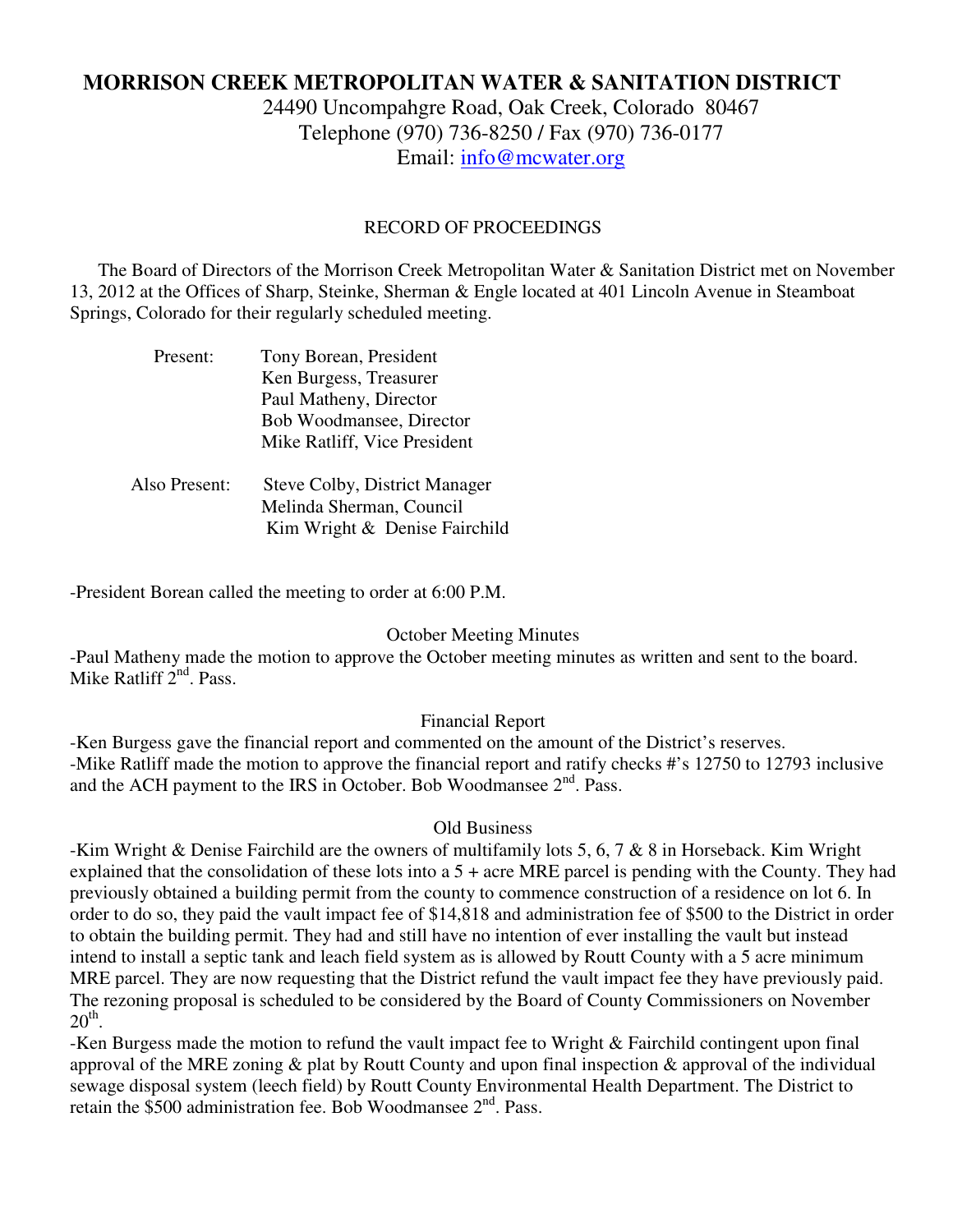# **MORRISON CREEK METROPOLITAN WATER & SANITATION DISTRICT**

24490 Uncompahgre Road, Oak Creek, Colorado 80467 Telephone (970) 736-8250 / Fax (970) 736-0177 Email: info@mcwater.org

#### RECORD OF PROCEEDINGS

 The Board of Directors of the Morrison Creek Metropolitan Water & Sanitation District met on November 13, 2012 at the Offices of Sharp, Steinke, Sherman & Engle located at 401 Lincoln Avenue in Steamboat Springs, Colorado for their regularly scheduled meeting.

| Tony Borean, President               |
|--------------------------------------|
| Ken Burgess, Treasurer               |
| Paul Matheny, Director               |
| Bob Woodmansee, Director             |
| Mike Ratliff, Vice President         |
| <b>Steve Colby, District Manager</b> |
| Melinda Sherman, Council             |
| Kim Wright & Denise Fairchild        |
|                                      |

-President Borean called the meeting to order at 6:00 P.M.

### October Meeting Minutes

-Paul Matheny made the motion to approve the October meeting minutes as written and sent to the board. Mike Ratliff  $2<sup>nd</sup>$ . Pass.

### Financial Report

-Ken Burgess gave the financial report and commented on the amount of the District's reserves. -Mike Ratliff made the motion to approve the financial report and ratify checks #'s 12750 to 12793 inclusive and the ACH payment to the IRS in October. Bob Woodmansee 2<sup>nd</sup>. Pass.

#### Old Business

-Kim Wright & Denise Fairchild are the owners of multifamily lots 5, 6, 7 & 8 in Horseback. Kim Wright explained that the consolidation of these lots into a 5 + acre MRE parcel is pending with the County. They had previously obtained a building permit from the county to commence construction of a residence on lot 6. In order to do so, they paid the vault impact fee of \$14,818 and administration fee of \$500 to the District in order to obtain the building permit. They had and still have no intention of ever installing the vault but instead intend to install a septic tank and leach field system as is allowed by Routt County with a 5 acre minimum MRE parcel. They are now requesting that the District refund the vault impact fee they have previously paid. The rezoning proposal is scheduled to be considered by the Board of County Commissioners on November  $20<sup>th</sup>$ .

-Ken Burgess made the motion to refund the vault impact fee to Wright & Fairchild contingent upon final approval of the MRE zoning & plat by Routt County and upon final inspection & approval of the individual sewage disposal system (leech field) by Routt County Environmental Health Department. The District to retain the  $$500$  administration fee. Bob Woodmansee  $2<sup>nd</sup>$ . Pass.